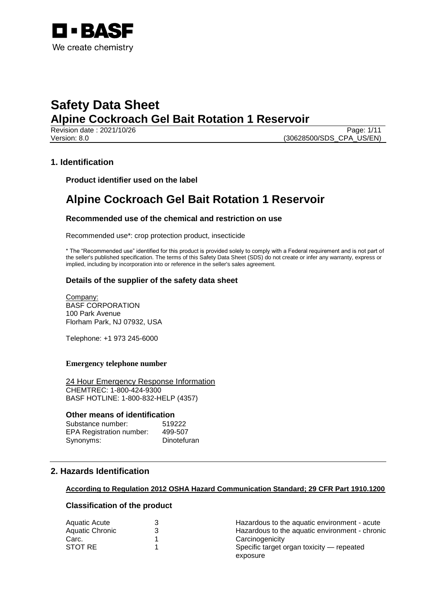

Revision date : 2021/10/26 Page: 1/11 Version: 8.0 (30628500/SDS\_CPA\_US/EN)

## **1. Identification**

**Product identifier used on the label**

## **Alpine Cockroach Gel Bait Rotation 1 Reservoir**

## **Recommended use of the chemical and restriction on use**

Recommended use\*: crop protection product, insecticide

\* The "Recommended use" identified for this product is provided solely to comply with a Federal requirement and is not part of the seller's published specification. The terms of this Safety Data Sheet (SDS) do not create or infer any warranty, express or implied, including by incorporation into or reference in the seller's sales agreement.

## **Details of the supplier of the safety data sheet**

Company: BASF CORPORATION 100 Park Avenue Florham Park, NJ 07932, USA

Telephone: +1 973 245-6000

## **Emergency telephone number**

24 Hour Emergency Response Information CHEMTREC: 1-800-424-9300 BASF HOTLINE: 1-800-832-HELP (4357)

### **Other means of identification**

| Substance number:               | 519222      |
|---------------------------------|-------------|
| <b>EPA Registration number:</b> | 499-507     |
| Synonyms:                       | Dinotefuran |

## **2. Hazards Identification**

## **According to Regulation 2012 OSHA Hazard Communication Standard; 29 CFR Part 1910.1200**

## **Classification of the product**

| Aquatic Acute          | Hazardous to the aquatic environment - acute   |
|------------------------|------------------------------------------------|
| <b>Aquatic Chronic</b> | Hazardous to the aquatic environment - chronic |
| Carc.                  | Carcinogenicity                                |
| STOT RE                | Specific target organ toxicity — repeated      |
|                        | exposure                                       |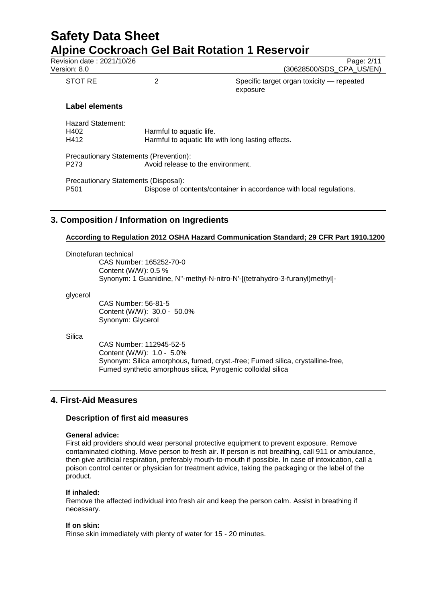| Revision date: 2021/10/26<br>Version: 8.0                |                                                                             | Page: 2/11<br>(30628500/SDS CPA US/EN)                              |  |
|----------------------------------------------------------|-----------------------------------------------------------------------------|---------------------------------------------------------------------|--|
| STOT RE                                                  | 2                                                                           | Specific target organ toxicity — repeated<br>exposure               |  |
| Label elements                                           |                                                                             |                                                                     |  |
| <b>Hazard Statement:</b><br>H402<br>H412                 | Harmful to aquatic life.                                                    | Harmful to aquatic life with long lasting effects.                  |  |
| P273                                                     | Precautionary Statements (Prevention):<br>Avoid release to the environment. |                                                                     |  |
| Precautionary Statements (Disposal):<br>P <sub>501</sub> |                                                                             | Dispose of contents/container in accordance with local regulations. |  |

## **3. Composition / Information on Ingredients**

## **According to Regulation 2012 OSHA Hazard Communication Standard; 29 CFR Part 1910.1200**

Dinotefuran technical CAS Number: 165252-70-0 Content (W/W): 0.5 % Synonym: 1 Guanidine, N''-methyl-N-nitro-N'-[(tetrahydro-3-furanyl)methyl]-

glycerol

CAS Number: 56-81-5 Content (W/W): 30.0 - 50.0% Synonym: Glycerol

**Silica** 

CAS Number: 112945-52-5 Content (W/W): 1.0 - 5.0% Synonym: Silica amorphous, fumed, cryst.-free; Fumed silica, crystalline-free, Fumed synthetic amorphous silica, Pyrogenic colloidal silica

## **4. First-Aid Measures**

## **Description of first aid measures**

### **General advice:**

First aid providers should wear personal protective equipment to prevent exposure. Remove contaminated clothing. Move person to fresh air. If person is not breathing, call 911 or ambulance, then give artificial respiration, preferably mouth-to-mouth if possible. In case of intoxication, call a poison control center or physician for treatment advice, taking the packaging or the label of the product.

### **If inhaled:**

Remove the affected individual into fresh air and keep the person calm. Assist in breathing if necessary.

### **If on skin:**

Rinse skin immediately with plenty of water for 15 - 20 minutes.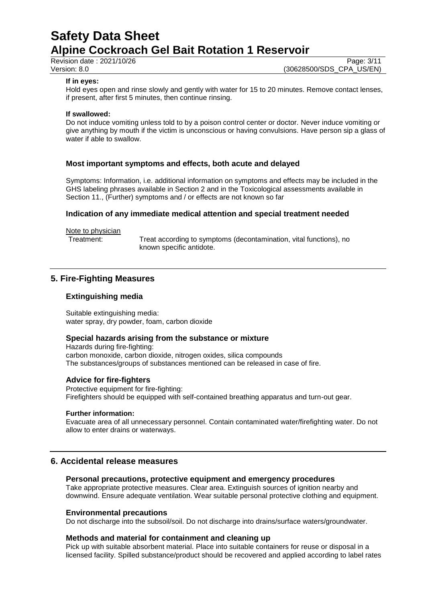Revision date : 2021/10/26 Page: 3/11<br>Version: 8.0 (30628500/SDS CPA US/EN) (30628500/SDS\_CPA\_US/EN)

### **If in eyes:**

Hold eyes open and rinse slowly and gently with water for 15 to 20 minutes. Remove contact lenses, if present, after first 5 minutes, then continue rinsing.

## **If swallowed:**

Do not induce vomiting unless told to by a poison control center or doctor. Never induce vomiting or give anything by mouth if the victim is unconscious or having convulsions. Have person sip a glass of water if able to swallow.

## **Most important symptoms and effects, both acute and delayed**

Symptoms: Information, i.e. additional information on symptoms and effects may be included in the GHS labeling phrases available in Section 2 and in the Toxicological assessments available in Section 11., (Further) symptoms and / or effects are not known so far

## **Indication of any immediate medical attention and special treatment needed**

Note to physician

Treatment: Treat according to symptoms (decontamination, vital functions), no known specific antidote.

## **5. Fire-Fighting Measures**

## **Extinguishing media**

Suitable extinguishing media: water spray, dry powder, foam, carbon dioxide

## **Special hazards arising from the substance or mixture**

Hazards during fire-fighting: carbon monoxide, carbon dioxide, nitrogen oxides, silica compounds The substances/groups of substances mentioned can be released in case of fire.

## **Advice for fire-fighters**

Protective equipment for fire-fighting: Firefighters should be equipped with self-contained breathing apparatus and turn-out gear.

### **Further information:**

Evacuate area of all unnecessary personnel. Contain contaminated water/firefighting water. Do not allow to enter drains or waterways.

## **6. Accidental release measures**

### **Personal precautions, protective equipment and emergency procedures**

Take appropriate protective measures. Clear area. Extinguish sources of ignition nearby and downwind. Ensure adequate ventilation. Wear suitable personal protective clothing and equipment.

### **Environmental precautions**

Do not discharge into the subsoil/soil. Do not discharge into drains/surface waters/groundwater.

### **Methods and material for containment and cleaning up**

Pick up with suitable absorbent material. Place into suitable containers for reuse or disposal in a licensed facility. Spilled substance/product should be recovered and applied according to label rates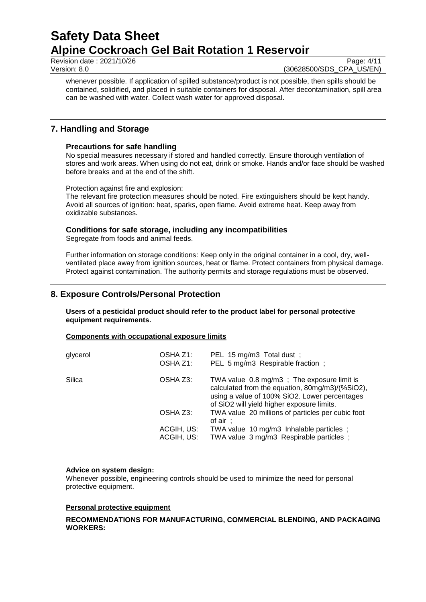Revision date : 2021/10/26 Page: 4/11<br>Version: 8.0 Page: 4/11

(30628500/SDS CPA US/EN)

whenever possible. If application of spilled substance/product is not possible, then spills should be contained, solidified, and placed in suitable containers for disposal. After decontamination, spill area can be washed with water. Collect wash water for approved disposal.

## **7. Handling and Storage**

## **Precautions for safe handling**

No special measures necessary if stored and handled correctly. Ensure thorough ventilation of stores and work areas. When using do not eat, drink or smoke. Hands and/or face should be washed before breaks and at the end of the shift.

Protection against fire and explosion:

The relevant fire protection measures should be noted. Fire extinguishers should be kept handy. Avoid all sources of ignition: heat, sparks, open flame. Avoid extreme heat. Keep away from oxidizable substances.

## **Conditions for safe storage, including any incompatibilities**

Segregate from foods and animal feeds.

Further information on storage conditions: Keep only in the original container in a cool, dry, wellventilated place away from ignition sources, heat or flame. Protect containers from physical damage. Protect against contamination. The authority permits and storage regulations must be observed.

## **8. Exposure Controls/Personal Protection**

**Users of a pesticidal product should refer to the product label for personal protective equipment requirements.**

### **Components with occupational exposure limits**

| glycerol | OSHA Z1:<br>OSHA Z1:     | PEL 15 mg/m3 Total dust ;<br>PEL 5 mg/m3 Respirable fraction;                                                                                                                                |
|----------|--------------------------|----------------------------------------------------------------------------------------------------------------------------------------------------------------------------------------------|
| Silica   | OSHA Z3:                 | TWA value 0.8 mg/m3; The exposure limit is<br>calculated from the equation, 80mg/m3)/(%SiO2),<br>using a value of 100% SiO2. Lower percentages<br>of SiO2 will yield higher exposure limits. |
|          | OSHA Z3:                 | TWA value 20 millions of particles per cubic foot<br>of air $\div$                                                                                                                           |
|          | ACGIH, US:<br>ACGIH, US: | TWA value 10 mg/m3 Inhalable particles;<br>TWA value 3 mg/m3 Respirable particles;                                                                                                           |

### **Advice on system design:**

Whenever possible, engineering controls should be used to minimize the need for personal protective equipment.

### **Personal protective equipment**

## **RECOMMENDATIONS FOR MANUFACTURING, COMMERCIAL BLENDING, AND PACKAGING WORKERS:**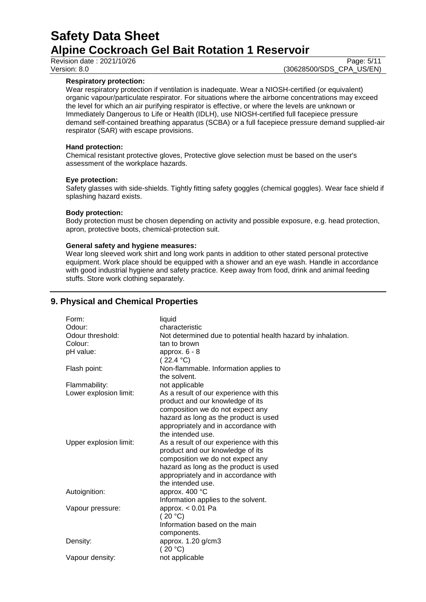Revision date : 2021/10/26 Page: 5/11<br>Version: 8.0 (30628500/SDS\_CPA\_US/EN)

## **Respiratory protection:**

Wear respiratory protection if ventilation is inadequate. Wear a NIOSH-certified (or equivalent) organic vapour/particulate respirator. For situations where the airborne concentrations may exceed the level for which an air purifying respirator is effective, or where the levels are unknown or Immediately Dangerous to Life or Health (IDLH), use NIOSH-certified full facepiece pressure demand self-contained breathing apparatus (SCBA) or a full facepiece pressure demand supplied-air respirator (SAR) with escape provisions.

(30628500/SDS\_CPA\_US/EN)

## **Hand protection:**

Chemical resistant protective gloves, Protective glove selection must be based on the user's assessment of the workplace hazards.

## **Eye protection:**

Safety glasses with side-shields. Tightly fitting safety goggles (chemical goggles). Wear face shield if splashing hazard exists.

## **Body protection:**

Body protection must be chosen depending on activity and possible exposure, e.g. head protection, apron, protective boots, chemical-protection suit.

## **General safety and hygiene measures:**

Wear long sleeved work shirt and long work pants in addition to other stated personal protective equipment. Work place should be equipped with a shower and an eye wash. Handle in accordance with good industrial hygiene and safety practice. Keep away from food, drink and animal feeding stuffs. Store work clothing separately.

## **9. Physical and Chemical Properties**

| Form:<br>Odour:        | liquid<br>characteristic                                                    |
|------------------------|-----------------------------------------------------------------------------|
| Odour threshold:       | Not determined due to potential health hazard by inhalation.                |
| Colour:                | tan to brown                                                                |
| pH value:              | approx. $6 - 8$<br>(22.4 °C)                                                |
| Flash point:           | Non-flammable. Information applies to<br>the solvent.                       |
| Flammability:          | not applicable                                                              |
| Lower explosion limit: | As a result of our experience with this<br>product and our knowledge of its |
|                        | composition we do not expect any                                            |
|                        | hazard as long as the product is used                                       |
|                        | appropriately and in accordance with                                        |
|                        | the intended use.                                                           |
| Upper explosion limit: | As a result of our experience with this                                     |
|                        | product and our knowledge of its                                            |
|                        | composition we do not expect any                                            |
|                        | hazard as long as the product is used                                       |
|                        | appropriately and in accordance with                                        |
|                        | the intended use.                                                           |
| Autoignition:          | approx. 400 °C                                                              |
|                        | Information applies to the solvent.                                         |
| Vapour pressure:       | approx. < 0.01 Pa                                                           |
|                        | (20 °C)                                                                     |
|                        | Information based on the main                                               |
|                        | components.                                                                 |
| Density:               | approx. 1.20 g/cm3                                                          |
|                        | (20 °C)                                                                     |
| Vapour density:        | not applicable                                                              |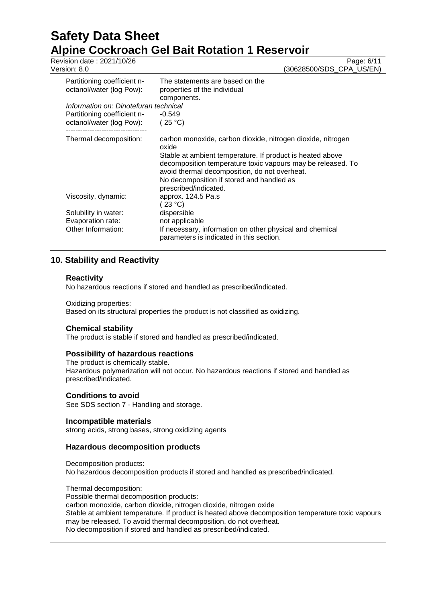Revision date : 2021/10/26 Page: 6/11<br>Version: 8.0 (30628500/SDS CPA US/EN) (30628500/SDS\_CPA\_US/EN)

| Partitioning coefficient n-<br>octanol/water (log Pow): | The statements are based on the<br>properties of the individual                                                                                                           |
|---------------------------------------------------------|---------------------------------------------------------------------------------------------------------------------------------------------------------------------------|
| Information on: Dinotefuran technical                   | components.                                                                                                                                                               |
|                                                         |                                                                                                                                                                           |
| Partitioning coefficient n-                             | $-0.549$                                                                                                                                                                  |
| octanol/water (log Pow):                                | (25 °C)                                                                                                                                                                   |
| Thermal decomposition:                                  | carbon monoxide, carbon dioxide, nitrogen dioxide, nitrogen<br>oxide                                                                                                      |
|                                                         | Stable at ambient temperature. If product is heated above<br>decomposition temperature toxic vapours may be released. To<br>avoid thermal decomposition, do not overheat. |
|                                                         | No decomposition if stored and handled as                                                                                                                                 |
|                                                         | prescribed/indicated.                                                                                                                                                     |
| Viscosity, dynamic:                                     | approx. 124.5 Pa.s                                                                                                                                                        |
|                                                         | (23 °C)                                                                                                                                                                   |
| Solubility in water:                                    | dispersible                                                                                                                                                               |
| Evaporation rate:                                       | not applicable                                                                                                                                                            |
| Other Information:                                      | If necessary, information on other physical and chemical<br>parameters is indicated in this section.                                                                      |

## **10. Stability and Reactivity**

## **Reactivity**

No hazardous reactions if stored and handled as prescribed/indicated.

## Oxidizing properties:

Based on its structural properties the product is not classified as oxidizing.

## **Chemical stability**

The product is stable if stored and handled as prescribed/indicated.

## **Possibility of hazardous reactions**

The product is chemically stable. Hazardous polymerization will not occur. No hazardous reactions if stored and handled as prescribed/indicated.

## **Conditions to avoid**

See SDS section 7 - Handling and storage.

## **Incompatible materials**

strong acids, strong bases, strong oxidizing agents

## **Hazardous decomposition products**

Decomposition products:

No hazardous decomposition products if stored and handled as prescribed/indicated.

## Thermal decomposition:

Possible thermal decomposition products: carbon monoxide, carbon dioxide, nitrogen dioxide, nitrogen oxide Stable at ambient temperature. If product is heated above decomposition temperature toxic vapours may be released. To avoid thermal decomposition, do not overheat. No decomposition if stored and handled as prescribed/indicated.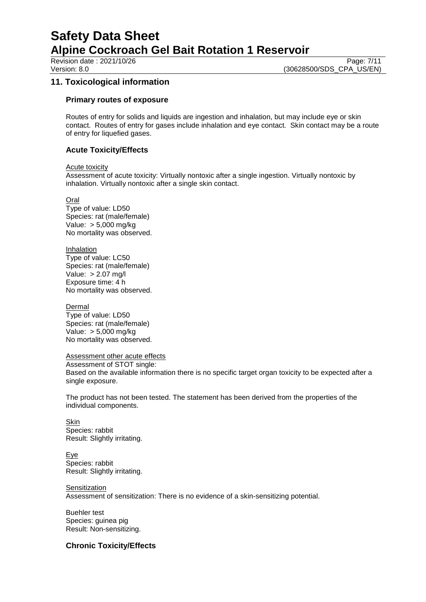Revision date : 2021/10/26 Page: 7/11<br>Version: 8.0 (30628500/SDS CPA US/EN) (30628500/SDS CPA US/EN)

## **11. Toxicological information**

## **Primary routes of exposure**

Routes of entry for solids and liquids are ingestion and inhalation, but may include eye or skin contact. Routes of entry for gases include inhalation and eye contact. Skin contact may be a route of entry for liquefied gases.

## **Acute Toxicity/Effects**

Acute toxicity

Assessment of acute toxicity: Virtually nontoxic after a single ingestion. Virtually nontoxic by inhalation. Virtually nontoxic after a single skin contact.

Oral

Type of value: LD50 Species: rat (male/female) Value: > 5,000 mg/kg No mortality was observed.

Inhalation Type of value: LC50 Species: rat (male/female) Value: > 2.07 mg/l Exposure time: 4 h No mortality was observed.

### Dermal

Type of value: LD50 Species: rat (male/female) Value: > 5,000 mg/kg No mortality was observed.

### Assessment other acute effects

Assessment of STOT single: Based on the available information there is no specific target organ toxicity to be expected after a single exposure.

The product has not been tested. The statement has been derived from the properties of the individual components.

**Skin** Species: rabbit Result: Slightly irritating.

Eye Species: rabbit Result: Slightly irritating.

### **Sensitization**

Assessment of sensitization: There is no evidence of a skin-sensitizing potential.

Buehler test Species: guinea pig Result: Non-sensitizing.

## **Chronic Toxicity/Effects**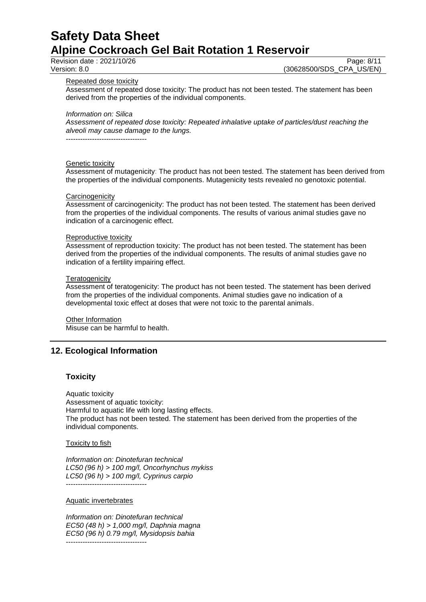Revision date : 2021/10/26 Page: 8/11<br>Version: 8.0 (30628500/SDS CPA US/EN) (30628500/SDS CPA US/EN)

Repeated dose toxicity

Assessment of repeated dose toxicity: The product has not been tested. The statement has been derived from the properties of the individual components.

*Information on: Silica*

*Assessment of repeated dose toxicity: Repeated inhalative uptake of particles/dust reaching the alveoli may cause damage to the lungs.*

----------------------------------

### Genetic toxicity

Assessment of mutagenicity: The product has not been tested. The statement has been derived from the properties of the individual components. Mutagenicity tests revealed no genotoxic potential.

#### **Carcinogenicity**

Assessment of carcinogenicity: The product has not been tested. The statement has been derived from the properties of the individual components. The results of various animal studies gave no indication of a carcinogenic effect.

#### Reproductive toxicity

Assessment of reproduction toxicity: The product has not been tested. The statement has been derived from the properties of the individual components. The results of animal studies gave no indication of a fertility impairing effect.

#### **Teratogenicity**

Assessment of teratogenicity: The product has not been tested. The statement has been derived from the properties of the individual components. Animal studies gave no indication of a developmental toxic effect at doses that were not toxic to the parental animals.

Other Information Misuse can be harmful to health.

## **12. Ecological Information**

## **Toxicity**

Aquatic toxicity Assessment of aquatic toxicity: Harmful to aquatic life with long lasting effects. The product has not been tested. The statement has been derived from the properties of the individual components.

#### Toxicity to fish

*Information on: Dinotefuran technical LC50 (96 h) > 100 mg/l, Oncorhynchus mykiss LC50 (96 h) > 100 mg/l, Cyprinus carpio* ----------------------------------

#### Aquatic invertebrates

*Information on: Dinotefuran technical EC50 (48 h) > 1,000 mg/l, Daphnia magna EC50 (96 h) 0.79 mg/l, Mysidopsis bahia* ----------------------------------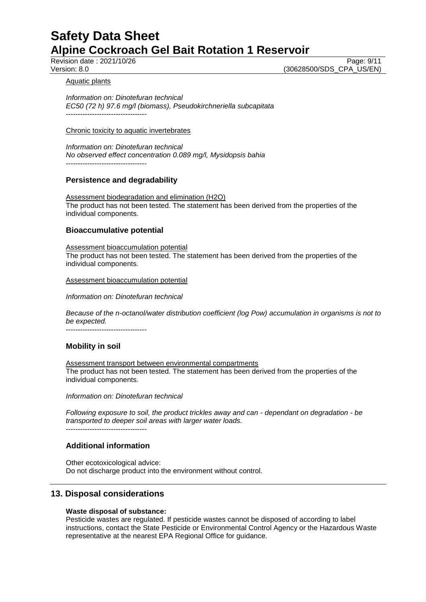Revision date : 2021/10/26 Page: 9/11<br>Version: 8.0 (30628500/SDS CPA US/EN) (30628500/SDS\_CPA\_US/EN)

### Aquatic plants

*Information on: Dinotefuran technical EC50 (72 h) 97.6 mg/l (biomass), Pseudokirchneriella subcapitata* ----------------------------------

### Chronic toxicity to aquatic invertebrates

*Information on: Dinotefuran technical No observed effect concentration 0.089 mg/l, Mysidopsis bahia* ----------------------------------

## **Persistence and degradability**

Assessment biodegradation and elimination (H2O) The product has not been tested. The statement has been derived from the properties of the individual components.

## **Bioaccumulative potential**

Assessment bioaccumulation potential The product has not been tested. The statement has been derived from the properties of the individual components.

Assessment bioaccumulation potential

*Information on: Dinotefuran technical*

*Because of the n-octanol/water distribution coefficient (log Pow) accumulation in organisms is not to be expected.*

----------------------------------

## **Mobility in soil**

Assessment transport between environmental compartments The product has not been tested. The statement has been derived from the properties of the individual components.

*Information on: Dinotefuran technical*

*Following exposure to soil, the product trickles away and can - dependant on degradation - be transported to deeper soil areas with larger water loads.* ----------------------------------

## **Additional information**

Other ecotoxicological advice: Do not discharge product into the environment without control.

## **13. Disposal considerations**

### **Waste disposal of substance:**

Pesticide wastes are regulated. If pesticide wastes cannot be disposed of according to label instructions, contact the State Pesticide or Environmental Control Agency or the Hazardous Waste representative at the nearest EPA Regional Office for guidance.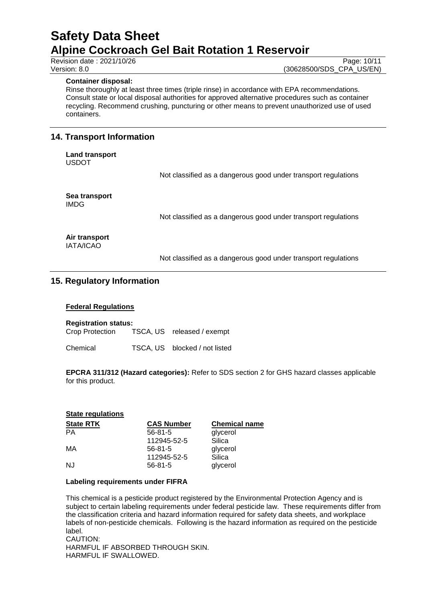## **Container disposal:**

Rinse thoroughly at least three times (triple rinse) in accordance with EPA recommendations. Consult state or local disposal authorities for approved alternative procedures such as container recycling. Recommend crushing, puncturing or other means to prevent unauthorized use of used containers.

## **14. Transport Information**

**Land transport** USDOT

Not classified as a dangerous good under transport regulations

**Sea transport** IMDG

Not classified as a dangerous good under transport regulations

**Air transport** IATA/ICAO

Not classified as a dangerous good under transport regulations

## **15. Regulatory Information**

### **Federal Regulations**

**Registration status:** Crop Protection TSCA, US released / exempt

Chemical TSCA, US blocked / not listed

**EPCRA 311/312 (Hazard categories):** Refer to SDS section 2 for GHS hazard classes applicable for this product.

| <b>State regulations</b> |                   |                      |
|--------------------------|-------------------|----------------------|
| <b>State RTK</b>         | <b>CAS Number</b> | <b>Chemical name</b> |
| РA                       | $56 - 81 - 5$     | glycerol             |
|                          | 112945-52-5       | Silica               |
| MA                       | $56 - 81 - 5$     | glycerol             |
|                          | 112945-52-5       | Silica               |
| NJ                       | $56 - 81 - 5$     | glycerol             |

### **Labeling requirements under FIFRA**

This chemical is a pesticide product registered by the Environmental Protection Agency and is subject to certain labeling requirements under federal pesticide law. These requirements differ from the classification criteria and hazard information required for safety data sheets, and workplace labels of non-pesticide chemicals. Following is the hazard information as required on the pesticide label. CAUTION:

HARMFUL IF ABSORBED THROUGH SKIN. HARMFUL IF SWALLOWED.

Revision date : 2021/10/26 Page: 10/11<br>Version: 8.0 (30628500/SDS CPA US/EN) (30628500/SDS\_CPA\_US/EN)